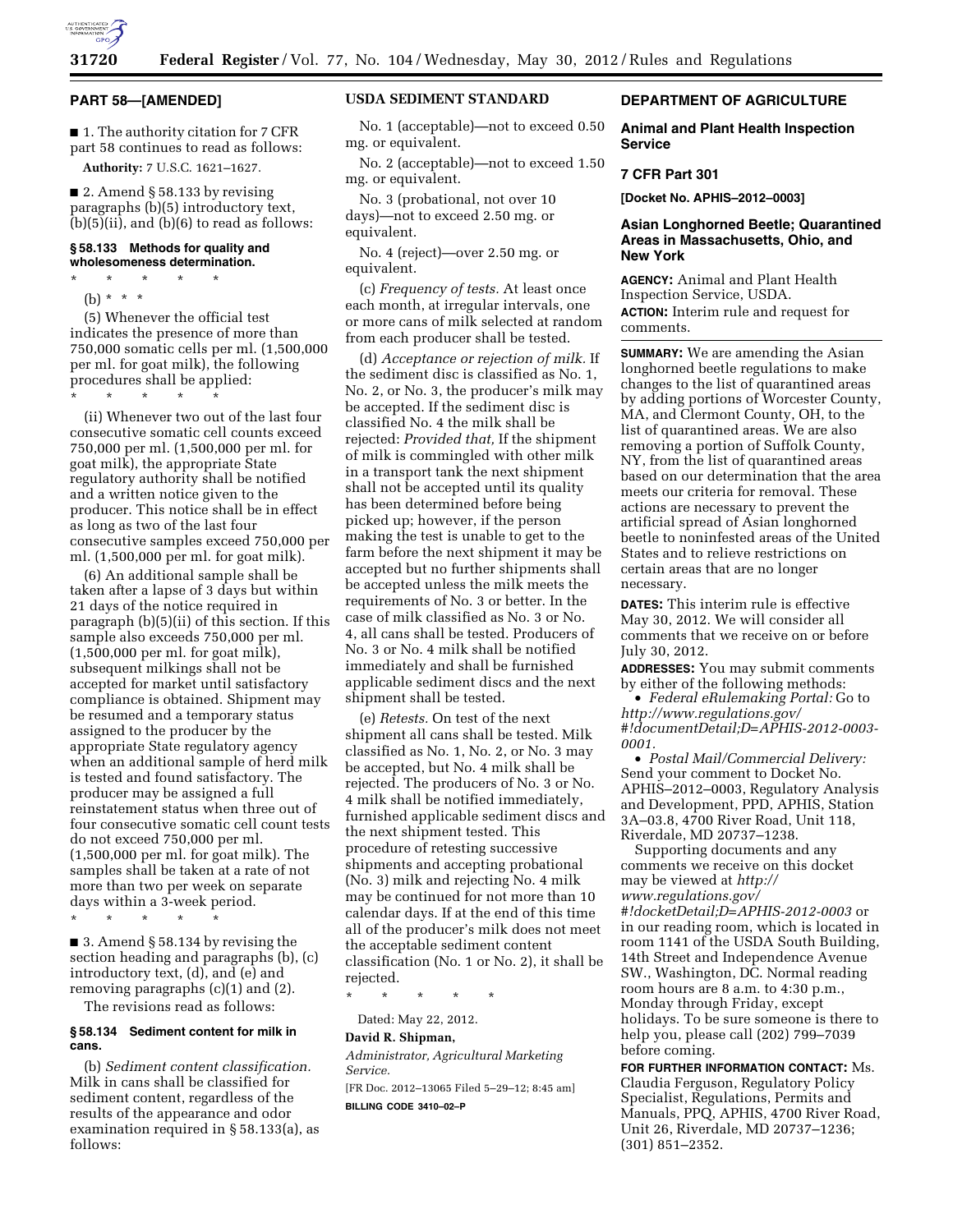

### **PART 58—[AMENDED]**

■ 1. The authority citation for 7 CFR part 58 continues to read as follows:

**Authority:** 7 U.S.C. 1621–1627.

■ 2. Amend § 58.133 by revising paragraphs (b)(5) introductory text,  $(b)(5)(ii)$ , and  $(b)(6)$  to read as follows:

### **§ 58.133 Methods for quality and wholesomeness determination.**

\* \* \* \* \*

(b) \* \* \*

(5) Whenever the official test indicates the presence of more than 750,000 somatic cells per ml. (1,500,000 per ml. for goat milk), the following procedures shall be applied:

\* \* \* \* \*

(ii) Whenever two out of the last four consecutive somatic cell counts exceed 750,000 per ml. (1,500,000 per ml. for goat milk), the appropriate State regulatory authority shall be notified and a written notice given to the producer. This notice shall be in effect as long as two of the last four consecutive samples exceed 750,000 per ml. (1,500,000 per ml. for goat milk).

(6) An additional sample shall be taken after a lapse of 3 days but within 21 days of the notice required in paragraph (b)(5)(ii) of this section. If this sample also exceeds 750,000 per ml. (1,500,000 per ml. for goat milk), subsequent milkings shall not be accepted for market until satisfactory compliance is obtained. Shipment may be resumed and a temporary status assigned to the producer by the appropriate State regulatory agency when an additional sample of herd milk is tested and found satisfactory. The producer may be assigned a full reinstatement status when three out of four consecutive somatic cell count tests do not exceed 750,000 per ml. (1,500,000 per ml. for goat milk). The samples shall be taken at a rate of not more than two per week on separate days within a 3-week period.

\* \* \* \* \*

■ 3. Amend § 58.134 by revising the section heading and paragraphs (b), (c) introductory text, (d), and (e) and removing paragraphs (c)(1) and (2).

The revisions read as follows:

#### **§ 58.134 Sediment content for milk in cans.**

(b) *Sediment content classification.*  Milk in cans shall be classified for sediment content, regardless of the results of the appearance and odor examination required in § 58.133(a), as follows:

## **USDA SEDIMENT STANDARD**

No. 1 (acceptable)—not to exceed 0.50 mg. or equivalent.

No. 2 (acceptable)—not to exceed 1.50 mg. or equivalent.

No. 3 (probational, not over 10 days)—not to exceed 2.50 mg. or equivalent.

No. 4 (reject)—over 2.50 mg. or equivalent.

(c) *Frequency of tests.* At least once each month, at irregular intervals, one or more cans of milk selected at random from each producer shall be tested.

(d) *Acceptance or rejection of milk.* If the sediment disc is classified as No. 1, No. 2, or No. 3, the producer's milk may be accepted. If the sediment disc is classified No. 4 the milk shall be rejected: *Provided that,* If the shipment of milk is commingled with other milk in a transport tank the next shipment shall not be accepted until its quality has been determined before being picked up; however, if the person making the test is unable to get to the farm before the next shipment it may be accepted but no further shipments shall be accepted unless the milk meets the requirements of No. 3 or better. In the case of milk classified as No. 3 or No. 4, all cans shall be tested. Producers of No. 3 or No. 4 milk shall be notified immediately and shall be furnished applicable sediment discs and the next shipment shall be tested.

(e) *Retests.* On test of the next shipment all cans shall be tested. Milk classified as No. 1, No. 2, or No. 3 may be accepted, but No. 4 milk shall be rejected. The producers of No. 3 or No. 4 milk shall be notified immediately, furnished applicable sediment discs and the next shipment tested. This procedure of retesting successive shipments and accepting probational (No. 3) milk and rejecting No. 4 milk may be continued for not more than 10 calendar days. If at the end of this time all of the producer's milk does not meet the acceptable sediment content classification (No. 1 or No. 2), it shall be rejected.

\* \* \* \* \*

Dated: May 22, 2012.

#### **David R. Shipman,**

*Administrator, Agricultural Marketing Service.* 

[FR Doc. 2012–13065 Filed 5–29–12; 8:45 am]

**BILLING CODE 3410–02–P** 

## **DEPARTMENT OF AGRICULTURE**

**Animal and Plant Health Inspection Service** 

### **7 CFR Part 301**

**[Docket No. APHIS–2012–0003]** 

### **Asian Longhorned Beetle; Quarantined Areas in Massachusetts, Ohio, and New York**

**AGENCY:** Animal and Plant Health Inspection Service, USDA.

**ACTION:** Interim rule and request for comments.

**SUMMARY:** We are amending the Asian longhorned beetle regulations to make changes to the list of quarantined areas by adding portions of Worcester County, MA, and Clermont County, OH, to the list of quarantined areas. We are also removing a portion of Suffolk County, NY, from the list of quarantined areas based on our determination that the area meets our criteria for removal. These actions are necessary to prevent the artificial spread of Asian longhorned beetle to noninfested areas of the United States and to relieve restrictions on certain areas that are no longer necessary.

**DATES:** This interim rule is effective May 30, 2012. We will consider all comments that we receive on or before July 30, 2012.

**ADDRESSES:** You may submit comments by either of the following methods:

• *Federal eRulemaking Portal:* Go to *[http://www.regulations.gov/](http://www.regulations.gov/#!documentDetail;D=APHIS-2012-0003-0001)  [#!documentDetail;D=APHIS-2012-0003-](http://www.regulations.gov/#!documentDetail;D=APHIS-2012-0003-0001) [0001.](http://www.regulations.gov/#!documentDetail;D=APHIS-2012-0003-0001)* 

• *Postal Mail/Commercial Delivery:*  Send your comment to Docket No. APHIS–2012–0003, Regulatory Analysis and Development, PPD, APHIS, Station 3A–03.8, 4700 River Road, Unit 118, Riverdale, MD 20737–1238.

Supporting documents and any comments we receive on this docket may be viewed at *[http://](http://www.regulations.gov/#!docketDetail;D=APHIS-2012-0003)  [www.regulations.gov/](http://www.regulations.gov/#!docketDetail;D=APHIS-2012-0003) [#!docketDetail;D=APHIS-2012-0003](http://www.regulations.gov/#!docketDetail;D=APHIS-2012-0003)* or in our reading room, which is located in room 1141 of the USDA South Building, 14th Street and Independence Avenue SW., Washington, DC. Normal reading room hours are 8 a.m. to 4:30 p.m., Monday through Friday, except holidays. To be sure someone is there to help you, please call (202) 799–7039 before coming.

**FOR FURTHER INFORMATION CONTACT:** Ms. Claudia Ferguson, Regulatory Policy Specialist, Regulations, Permits and Manuals, PPQ, APHIS, 4700 River Road, Unit 26, Riverdale, MD 20737–1236; (301) 851–2352.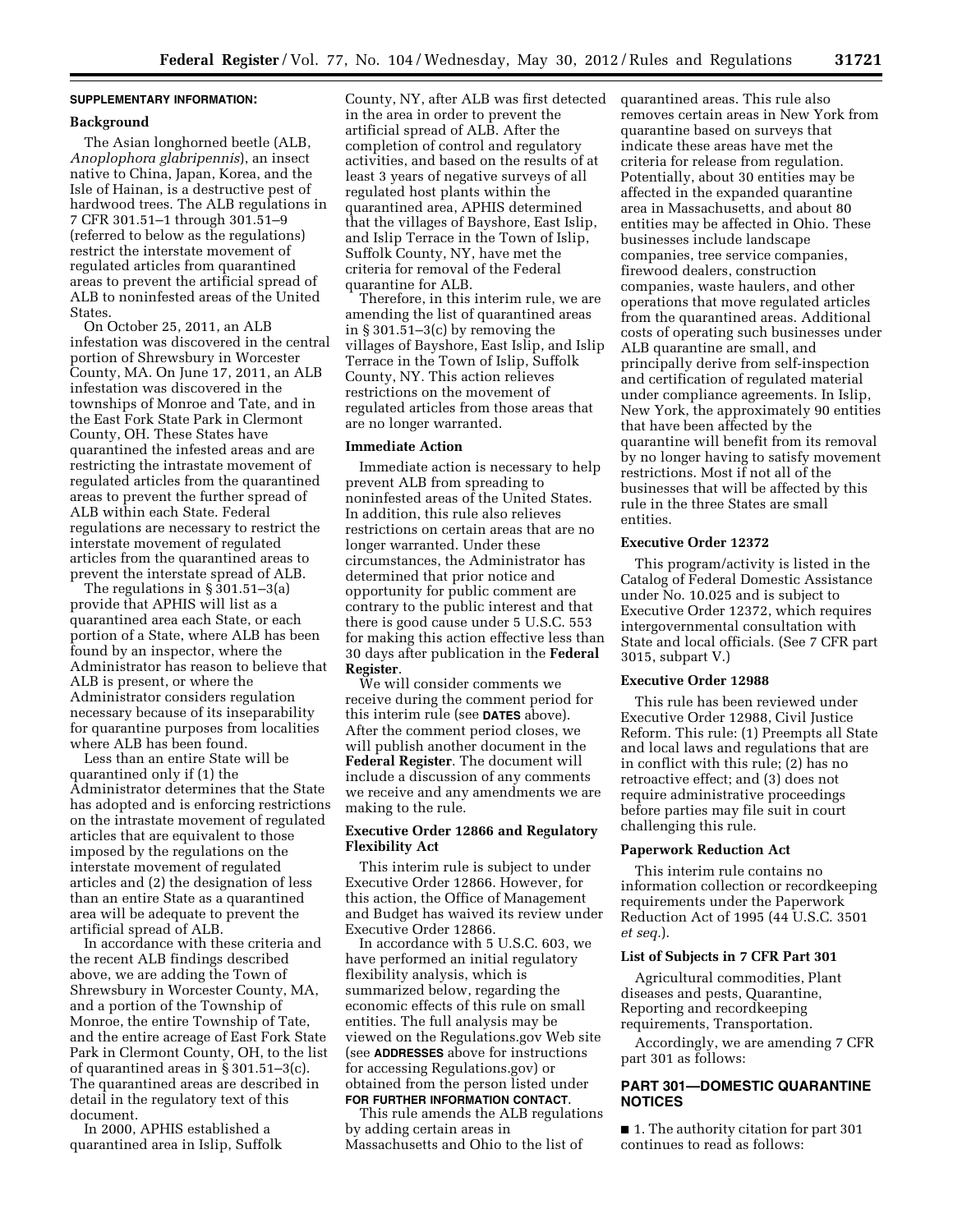## **SUPPLEMENTARY INFORMATION:**

#### **Background**

The Asian longhorned beetle (ALB, *Anoplophora glabripennis*), an insect native to China, Japan, Korea, and the Isle of Hainan, is a destructive pest of hardwood trees. The ALB regulations in 7 CFR 301.51–1 through 301.51–9 (referred to below as the regulations) restrict the interstate movement of regulated articles from quarantined areas to prevent the artificial spread of ALB to noninfested areas of the United States.

On October 25, 2011, an ALB infestation was discovered in the central portion of Shrewsbury in Worcester County, MA. On June 17, 2011, an ALB infestation was discovered in the townships of Monroe and Tate, and in the East Fork State Park in Clermont County, OH. These States have quarantined the infested areas and are restricting the intrastate movement of regulated articles from the quarantined areas to prevent the further spread of ALB within each State. Federal regulations are necessary to restrict the interstate movement of regulated articles from the quarantined areas to prevent the interstate spread of ALB.

The regulations in § 301.51–3(a) provide that APHIS will list as a quarantined area each State, or each portion of a State, where ALB has been found by an inspector, where the Administrator has reason to believe that ALB is present, or where the Administrator considers regulation necessary because of its inseparability for quarantine purposes from localities where ALB has been found.

Less than an entire State will be quarantined only if (1) the Administrator determines that the State has adopted and is enforcing restrictions on the intrastate movement of regulated articles that are equivalent to those imposed by the regulations on the interstate movement of regulated articles and (2) the designation of less than an entire State as a quarantined area will be adequate to prevent the artificial spread of ALB.

In accordance with these criteria and the recent ALB findings described above, we are adding the Town of Shrewsbury in Worcester County, MA, and a portion of the Township of Monroe, the entire Township of Tate, and the entire acreage of East Fork State Park in Clermont County, OH, to the list of quarantined areas in § 301.51–3(c). The quarantined areas are described in detail in the regulatory text of this document.

In 2000, APHIS established a quarantined area in Islip, Suffolk

County, NY, after ALB was first detected in the area in order to prevent the artificial spread of ALB. After the completion of control and regulatory activities, and based on the results of at least 3 years of negative surveys of all regulated host plants within the quarantined area, APHIS determined that the villages of Bayshore, East Islip, and Islip Terrace in the Town of Islip, Suffolk County, NY, have met the criteria for removal of the Federal quarantine for ALB.

Therefore, in this interim rule, we are amending the list of quarantined areas in § 301.51–3(c) by removing the villages of Bayshore, East Islip, and Islip Terrace in the Town of Islip, Suffolk County, NY. This action relieves restrictions on the movement of regulated articles from those areas that are no longer warranted.

### **Immediate Action**

Immediate action is necessary to help prevent ALB from spreading to noninfested areas of the United States. In addition, this rule also relieves restrictions on certain areas that are no longer warranted. Under these circumstances, the Administrator has determined that prior notice and opportunity for public comment are contrary to the public interest and that there is good cause under 5 U.S.C. 553 for making this action effective less than 30 days after publication in the **Federal Register**.

We will consider comments we receive during the comment period for this interim rule (see **DATES** above). After the comment period closes, we will publish another document in the **Federal Register**. The document will include a discussion of any comments we receive and any amendments we are making to the rule.

### **Executive Order 12866 and Regulatory Flexibility Act**

This interim rule is subject to under Executive Order 12866. However, for this action, the Office of Management and Budget has waived its review under Executive Order 12866.

In accordance with 5 U.S.C. 603, we have performed an initial regulatory flexibility analysis, which is summarized below, regarding the economic effects of this rule on small entities. The full analysis may be viewed on the Regulations.gov Web site (see **ADDRESSES** above for instructions for accessing Regulations.gov) or obtained from the person listed under **FOR FURTHER INFORMATION CONTACT**.

This rule amends the ALB regulations by adding certain areas in Massachusetts and Ohio to the list of

quarantined areas. This rule also removes certain areas in New York from quarantine based on surveys that indicate these areas have met the criteria for release from regulation. Potentially, about 30 entities may be affected in the expanded quarantine area in Massachusetts, and about 80 entities may be affected in Ohio. These businesses include landscape companies, tree service companies, firewood dealers, construction companies, waste haulers, and other operations that move regulated articles from the quarantined areas. Additional costs of operating such businesses under ALB quarantine are small, and principally derive from self-inspection and certification of regulated material under compliance agreements. In Islip, New York, the approximately 90 entities that have been affected by the quarantine will benefit from its removal by no longer having to satisfy movement restrictions. Most if not all of the businesses that will be affected by this rule in the three States are small entities.

#### **Executive Order 12372**

This program/activity is listed in the Catalog of Federal Domestic Assistance under No. 10.025 and is subject to Executive Order 12372, which requires intergovernmental consultation with State and local officials. (See 7 CFR part 3015, subpart V.)

#### **Executive Order 12988**

This rule has been reviewed under Executive Order 12988, Civil Justice Reform. This rule: (1) Preempts all State and local laws and regulations that are in conflict with this rule; (2) has no retroactive effect; and (3) does not require administrative proceedings before parties may file suit in court challenging this rule.

#### **Paperwork Reduction Act**

This interim rule contains no information collection or recordkeeping requirements under the Paperwork Reduction Act of 1995 (44 U.S.C. 3501 *et seq.*).

### **List of Subjects in 7 CFR Part 301**

Agricultural commodities, Plant diseases and pests, Quarantine, Reporting and recordkeeping requirements, Transportation.

Accordingly, we are amending 7 CFR part 301 as follows:

# **PART 301—DOMESTIC QUARANTINE NOTICES**

■ 1. The authority citation for part 301 continues to read as follows: